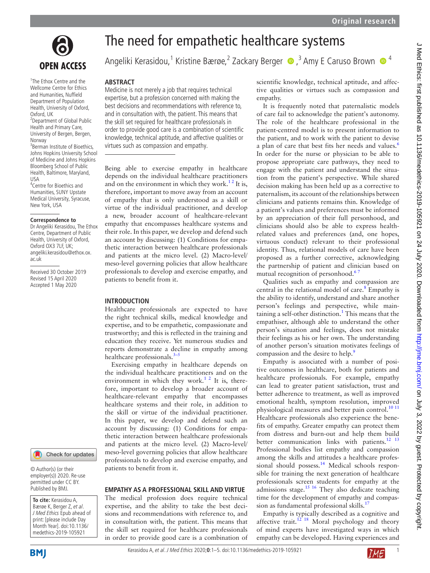

1 The Ethox Centre and the Wellcome Centre for Ethics and Humanities, Nuffield Department of Population Health, University of Oxford, Oxford, UK

<sup>2</sup> Department of Global Public Health and Primary Care, University of Bergen, Bergen, Norway

3 Berman Institute of Bioethics, Johns Hopkins University School of Medicine and Johns Hopkins Bloomberg School of Public Health, Baltimore, Maryland, USA

4 Centre for Bioethics and Humanities, SUNY Upstate Medical University, Syracuse, New York, USA

#### **Correspondence to**

Dr Angeliki Kerasidou, The Ethox Centre, Department of Public Health, University of Oxford, Oxford OX3 7LF, UK; angeliki.kerasidou@ethox.ox. ac.uk

Received 30 October 2019 Revised 15 April 2020 Accepted 1 May 2020



© Author(s) (or their employer(s)) 2020. Re-use permitted under CC BY. Published by BMJ.

**To cite:** Kerasidou A, Bærøe K, Berger Z, et al. J Med Ethics Epub ahead of print: [please include Day Month Year]. doi:10.1136/ medethics-2019-105921

# The need for empathetic healthcare systems

Angeliki Kerasidou,<sup>1</sup> Kristine Bærøe,<sup>2</sup> Zackary Berger (D,<sup>3</sup> Amy E Caruso Brown (D<sup>4</sup>

#### **Abstract**

Medicine is not merely a job that requires technical expertise, but a profession concerned with making the best decisions and recommendations with reference to, and in consultation with, the patient. This means that the skill set required for healthcare professionals in order to provide good care is a combination of scientific knowledge, technical aptitude, and affective qualities or virtues such as compassion and empathy.

Being able to exercise empathy in healthcare depends on the individual healthcare practitioners and on the environment in which they work.<sup>12</sup> It is, therefore, important to move away from an account of empathy that is only understood as a skill or virtue of the individual practitioner, and develop a new, broader account of healthcare-relevant empathy that encompasses healthcare systems and their role. In this paper, we develop and defend such an account by discussing: (1) Conditions for empathetic interaction between healthcare professionals and patients at the micro level. (2) Macro-level/ meso-level governing policies that allow healthcare professionals to develop and exercise empathy, and patients to benefit from it.

#### **Introduction**

Healthcare professionals are expected to have the right technical skills, medical knowledge and expertise, and to be empathetic, compassionate and trustworthy; and this is reflected in the training and education they receive. Yet numerous studies and reports demonstrate a decline in empathy among healthcare professionals.<sup>3–1</sup>

Exercising empathy in healthcare depends on the individual healthcare practitioners and on the environment in which they work.<sup>[1 2](#page-4-0)</sup> It is, therefore, important to develop a broader account of healthcare-relevant empathy that encompasses healthcare systems and their role, in addition to the skill or virtue of the individual practitioner. In this paper, we develop and defend such an account by discussing: (1) Conditions for empathetic interaction between healthcare professionals and patients at the micro level. (2) Macro-level/ meso-level governing policies that allow healthcare professionals to develop and exercise empathy, and patients to benefit from it.

#### **EMPATHY AS A PROFESSIONAL SKILL AND VIRTUE**

The medical profession does require technical expertise, and the ability to take the best decisions and recommendations with reference to, and in consultation with, the patient. This means that the skill set required for healthcare professionals in order to provide good care is a combination of scientific knowledge, technical aptitude, and affective qualities or virtues such as compassion and empathy.

It is frequently noted that paternalistic models of care fail to acknowledge the patient's autonomy. The role of the healthcare professional in the patient-centred model is to present information to the patient, and to work with the patient to devise a plan of care that best fits her needs and values.<sup>[6](#page-4-2)</sup> In order for the nurse or physician to be able to propose appropriate care pathways, they need to engage with the patient and understand the situation from the patient's perspective. While shared decision making has been held up as a corrective to paternalism, its account of the relationships between clinicians and patients remains thin. Knowledge of a patient's values and preferences must be informed by an appreciation of their full personhood, and clinicians should also be able to express healthrelated values and preferences (and, one hopes, virtuous conduct) relevant to their professional identity. Thus, relational models of care have been proposed as a further corrective, acknowledging the partnership of patient and clinician based on mutual recognition of personhood.<sup>67</sup>

Qualities such as empathy and compassion are central in the relational model of care.<sup>8</sup> Empathy is the ability to identify, understand and share another person's feelings and perspective, while main-taining a self-other distinction.<sup>[1](#page-4-0)</sup> This means that the empathiser, although able to understand the other person's situation and feelings, does not mistake their feelings as his or her own. The understanding of another person's situation motivates feelings of compassion and the desire to help.<sup>9</sup>

Empathy is associated with a number of positive outcomes in healthcare, both for patients and healthcare professionals. For example, empathy can lead to greater patient satisfaction, trust and better adherence to treatment, as well as improved emotional health, symptom resolution, improved physiological measures and better pain control.<sup>[10 11](#page-4-5)</sup> Healthcare professionals also experience the benefits of empathy. Greater empathy can protect them from distress and burn-out and help them build better communication links with patients. $12^{13}$ Professional bodies list empathy and compassion among the skills and attitudes a healthcare profes-sional should possess.<sup>[14](#page-4-7)</sup> Medical schools responsible for training the next generation of healthcare professionals screen students for empathy at the admissions stage. $15 \frac{16}{16}$  They also dedicate teaching time for the development of empathy and compassion as fundamental professional skills.<sup>17</sup>

Empathy is typically described as a cognitive and affective trait.<sup>12 18</sup> Moral psychology and theory of mind experts have investigated ways in which empathy can be developed. Having experiences and

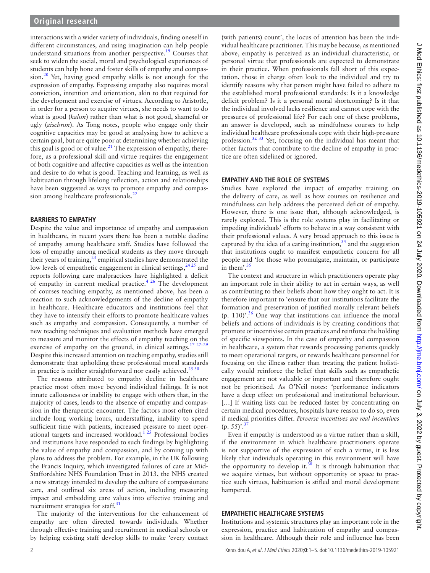interactions with a wider variety of individuals, finding oneself in different circumstances, and using imagination can help people understand situations from another perspective.<sup>19</sup> Courses that seek to widen the social, moral and psychological experiences of students can help hone and foster skills of empathy and compassion. $20$  Yet, having good empathy skills is not enough for the expression of empathy. Expressing empathy also requires moral conviction, intention and orientation, akin to that required for the development and exercise of virtues. According to Aristotle, in order for a person to acquire virtues, she needs to want to do what is good (*kalon*) rather than what is not good, shameful or ugly (*aischron*). As Tong notes, people who engage only their cognitive capacities may be good at analysing how to achieve a certain goal, but are quite poor at determining whether achieving this goal is good or of value.<sup>[21](#page-4-12)</sup> The expression of empathy, therefore, as a professional skill and virtue requires the engagement of both cognitive and affective capacities as well as the intention and desire to do what is good. Teaching and learning, as well as habituation through lifelong reflection, action and relationships have been suggested as ways to promote empathy and compassion among healthcare professionals. $^{22}$  $^{22}$  $^{22}$ 

## **Barriers to empat hy**

Despite the value and importance of empathy and compassion in healthcare, in recent years there has been a notable decline of empathy among healthcare staff. Studies have followed the loss of empathy among medical students as they move through their years of training, $^{23}$  $^{23}$  $^{23}$  empirical studies have demonstrated the low levels of empathetic engagement in clinical settings,  $2425$  and reports following care malpractices have highlighted a deficit of empathy in current medical practice.<sup>[4 26](#page-4-16)</sup> The development of courses teaching empathy, as mentioned above, has been a reaction to such acknowledgements of the decline of empathy in healthcare. Healthcare educators and institutions feel that they have to intensify their efforts to promote healthcare values such as empathy and compassion. Consequently, a number of new teaching techniques and evaluation methods have emerged to measure and monitor the effects of empathy teaching on the exercise of empathy on the ground, in clinical settings.<sup>17 27-29</sup> Despite this increased attention on teaching empathy, studies still demonstrate that upholding these professional moral standards in practice is neither straightforward nor easily achieved.<sup>25 30</sup>

The reasons attributed to empathy decline in healthcare practice most often move beyond individual failings. It is not innate callousness or inability to engage with others that, in the majority of cases, leads to the absence of empathy and compassion in the therapeutic encounter. The factors most often cited include long working hours, understaffing, inability to spend sufficient time with patients, increased pressure to meet operational targets and increased workload.<sup>125</sup> Professional bodies and institutions have responded to such findings by highlighting the value of empathy and compassion, and by coming up with plans to address the problem. For example, in the UK following the Francis Inquiry, which investigated failures of care at Mid-Staffordshire NHS Foundation Trust in 2013, the NHS created a new strategy intended to develop the culture of compassionate care, and outlined six areas of action, including measuring impact and embedding care values into effective training and recruitment strategies for staff. $31$ 

The majority of the interventions for the enhancement of empathy are often directed towards individuals. Whether through effective training and recruitment in medical schools or by helping existing staff develop skills to make 'every contact

(with patients) count', the locus of attention has been the individual healthcare practitioner. This may be because, as mentioned above, empathy is perceived as an individual characteristic, or personal virtue that professionals are expected to demonstrate in their practice. When professionals fall short of this expectation, those in charge often look to the individual and try to identify reasons why that person might have failed to adhere to the established moral professional standards: Is it a knowledge deficit problem? Is it a personal moral shortcoming? Is it that the individual involved lacks resilience and cannot cope with the pressures of professional life? For each one of these problems, an answer is developed, such as mindfulness courses to help individual healthcare professionals cope with their high-pressure profession.[32 33](#page-4-19) Yet, focusing on the individual has meant that other factors that contribute to the decline of empathy in practice are often sidelined or ignored.

## **EMPATHY AND THE ROLE OF SYSTEMS**

Studies have explored the impact of empathy training on the delivery of care, as well as how courses on resilience and mindfulness can help address the perceived deficit of empathy. However, there is one issue that, although acknowledged, is rarely explored. This is the role systems play in facilitating or impeding individuals' efforts to behave in a way consistent with their professional values. A very broad approach to this issue is captured by the idea of a caring institution,  $34$  and the suggestion that institutions ought to manifest empathetic concern for all people and 'for those who promulgate, maintain, or participate in them'. $3$ 

The context and structure in which practitioners operate play an important role in their ability to act in certain ways, as well as contributing to their beliefs about how they ought to act. It is therefore important to 'ensure that our institutions facilitate the formation and preservation of justified morally relevant beliefs  $(p. 110)$ <sup>36</sup>. One way that institutions can influence the moral beliefs and actions of individuals is by creating conditions that promote or incentivise certain practices and reinforce the holding of specific viewpoints. In the case of empathy and compassion in healthcare, a system that rewards processing patients quickly to meet operational targets, or rewards healthcare personnel for focusing on the illness rather than treating the patient holistically would reinforce the belief that skills such as empathetic engagement are not valuable or important and therefore ought not be prioritised. As O'Neil notes: 'performance indicators have a deep effect on professional and institutional behaviour. [...] If waiting lists can be reduced faster by concentrating on certain medical procedures, hospitals have reason to do so, even if medical priorities differ. *Perverse incentives are real incentives*  $(p. 55)$ <sup>[37](#page-4-23)</sup>

Even if empathy is understood as a virtue rather than a skill, if the environment in which healthcare practitioners operate is not supportive of the expression of such a virtue, it is less likely that individuals operating in this environment will have the opportunity to develop it. $38$  It is through habituation that we acquire virtues, but without opportunity or space to practice such virtues, habituation is stifled and moral development hampered.

# **EMPATHETIC HEALTHCARE SYSTEMS**

Institutions and systemic structures play an important role in the expression, practice and habituation of empathy and compassion in healthcare. Although their role and influence has been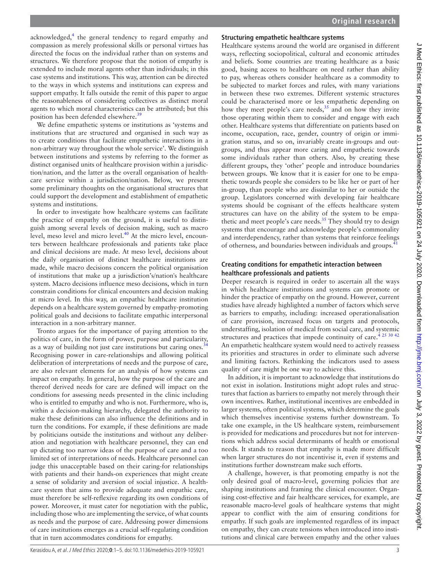acknowledged,<sup>[4](#page-4-16)</sup> the general tendency to regard empathy and compassion as merely professional skills or personal virtues has directed the focus on the individual rather than on systems and structures. We therefore propose that the notion of empathy is extended to include moral agents other than individuals; in this case systems and institutions. This way, attention can be directed to the ways in which systems and institutions can express and support empathy. It falls outside the remit of this paper to argue the reasonableness of considering collectives as distinct moral agents to which moral characteristics can be attributed; but this position has been defended elsewhere.[39](#page-4-25)

We define empathetic systems or institutions as 'systems and institutions that are structured and organised in such way as to create conditions that facilitate empathetic interactions in a non-arbitrary way throughout the whole service'. We distinguish between institutions and systems by referring to the former as distinct organised units of healthcare provision within a jurisdiction/nation, and the latter as the overall organisation of healthcare service within a jurisdiction/nation. Below, we present some preliminary thoughts on the organisational structures that could support the development and establishment of empathetic systems and institutions.

In order to investigate how healthcare systems can facilitate the practice of empathy on the ground, it is useful to distinguish among several levels of decision making, such as macro level, meso level and micro level.<sup>40</sup> At the micro level, encounters between healthcare professionals and patients take place and clinical decisions are made. At meso level, decisions about the daily organisation of distinct healthcare institutions are made, while macro decisions concern the political organisation of institutions that make up a jurisdiction's/nation's healthcare system. Macro decisions influence meso decisions, which in turn constrain conditions for clinical encounters and decision making at micro level. In this way, an empathic healthcare institution depends on a healthcare system governed by empathy-promoting political goals and decisions to facilitate empathic interpersonal interaction in a non-arbitrary manner.

Tronto argues for the importance of paying attention to the politics of care, in the form of power, purpose and particularity, as a way of building not just care institutions but caring ones.<sup>3</sup> Recognising power in care-relationships and allowing political deliberation of interpretations of needs and the purpose of care, are also relevant elements for an analysis of how systems can impact on empathy. In general, how the purpose of the care and thereof derived needs for care are defined will impact on the conditions for assessing needs presented in the clinic including who is entitled to empathy and who is not. Furthermore, who is, within a decision-making hierarchy, delegated the authority to make these definitions can also influence the definitions and in turn the conditions. For example, if these definitions are made by politicians outside the institutions and without any deliberation and negotiation with healthcare personnel, they can end up dictating too narrow ideas of the purpose of care and a too limited set of interpretations of needs. Healthcare personnel can judge this unacceptable based on their caring-for relationships with patients and their hands-on experiences that might create a sense of solidarity and aversion of social injustice. A healthcare system that aims to provide adequate and empathic care, must therefore be self-reflexive regarding its own conditions of power. Moreover, it must cater for negotiation with the public, including those who are implementing the service, of what counts as needs and the purpose of care. Addressing power dimensions of care institutions emerges as a crucial self-regulating condition that in turn accommodates conditions for empathy.

## **Structuring empathetic healthcare systems**

Healthcare systems around the world are organised in different ways, reflecting sociopolitical, cultural and economic attitudes and beliefs. Some countries are treating healthcare as a basic good, basing access to healthcare on need rather than ability to pay, whereas others consider healthcare as a commodity to be subjected to market forces and rules, with many variations in between these two extremes. Different systemic structures could be characterised more or less empathetic depending on how they meet people's care needs, $35$  and on how they invite those operating within them to consider and engage with each other. Healthcare systems that differentiate on patients based on income, occupation, race, gender, country of origin or immigration status, and so on, invariably create in-groups and outgroups, and thus appear more caring and empathetic towards some individuals rather than others. Also, by creating these different groups, they 'other' people and introduce boundaries between groups. We know that it is easier for one to be empathetic towards people she considers to be like her or part of her in-group, than people who are dissimilar to her or outside the group. Legislators concerned with developing fair healthcare systems should be cognisant of the effects healthcare system structures can have on the ability of the system to be empastructures can have on the using 53 the spinsystems that encourage and acknowledge people's commonality and interdependency, rather than systems that reinforce feelings of otherness, and boundaries between individuals and groups.<sup>[41](#page-4-27)</sup>

## **Creating conditions for empathetic interaction between healthcare professionals and patients**

Deeper research is required in order to ascertain all the ways in which healthcare institutions and systems can promote or hinder the practice of empathy on the ground. However, current studies have already highlighted a number of factors which serve as barriers to empathy, including: increased operationalisation of care provision, increased focus on targets and protocols, understaffing, isolation of medical from social care, and systemic structures and practices that impede continuity of care.<sup>[4 25 30 42](#page-4-16)</sup> An empathetic healthcare system would need to actively reassess its priorities and structures in order to eliminate such adverse and limiting factors. Rethinking the indicators used to assess quality of care might be one way to achieve this.

In addition, it is important to acknowledge that institutions do not exist in isolation. Institutions might adopt rules and structures that faction as barriers to empathy not merely through their own incentives. Rather, institutional incentives are embedded in larger systems, often political systems, which determine the goals which themselves incentivise systems further downstream. To take one example, in the US healthcare system, reimbursement is provided for medications and procedures but not for interventions which address social determinants of health or emotional needs. It stands to reason that empathy is made more difficult when larger structures do not incentivise it, even if systems and institutions further downstream make such efforts.

A challenge, however, is that promoting empathy is not the only desired goal of macro-level, governing policies that are shaping institutions and framing the clinical encounter. Organising cost-effective and fair healthcare services, for example, are reasonable macro-level goals of healthcare systems that might appear to conflict with the aim of ensuring conditions for empathy. If such goals are implemented regardless of its impact on empathy, they can create tensions when introduced into institutions and clinical care between empathy and the other values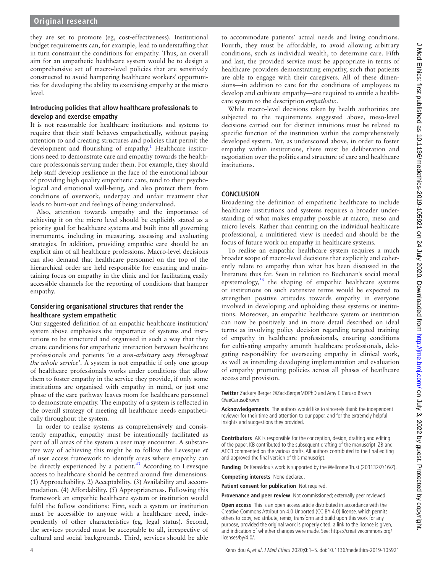they are set to promote (eg, cost-effectiveness). Institutional budget requirements can, for example, lead to understaffing that in turn constraint the conditions for empathy. Thus, an overall aim for an empathetic healthcare system would be to design a comprehensive set of macro-level policies that are sensitively constructed to avoid hampering healthcare workers' opportunities for developing the ability to exercising empathy at the micro level.

#### **Introducing policies that allow healthcare professionals to develop and exercise empathy**

It is not reasonable for healthcare institutions and systems to require that their staff behaves empathetically, without paying attention to and creating structures and policies that permit the development and flourishing of empathy.<sup>[1](#page-4-0)</sup> Healthcare institutions need to demonstrate care and empathy towards the healthcare professionals serving under them. For example, they should help staff develop resilience in the face of the emotional labour of providing high quality empathetic care, tend to their psychological and emotional well-being, and also protect them from conditions of overwork, underpay and unfair treatment that leads to burn-out and feelings of being undervalued.

Also, attention towards empathy and the importance of achieving it on the micro level should be explicitly stated as a priority goal for healthcare systems and built into all governing instruments, including in measuring, assessing and evaluating strategies. In addition, providing empathic care should be an explicit aim of all healthcare professions. Macro-level decisions can also demand that healthcare personnel on the top of the hierarchical order are held responsible for ensuring and maintaining focus on empathy in the clinic and for facilitating easily accessible channels for the reporting of conditions that hamper empathy.

#### **Considering organisational structures that render the healthcare system empathetic**

Our suggested definition of an empathic healthcare institution/ system above emphasises the importance of systems and institutions to be structured and organised in such a way that they create conditions for empathetic interaction between healthcare professionals and patients *'in a non-arbitrary way throughout the whole service'*. A system is not empathic if only one group of healthcare professionals works under conditions that allow them to foster empathy in the service they provide, if only some institutions are organised with empathy in mind, or just one phase of the care pathway leaves room for healthcare personnel to demonstrate empathy. The empathy of a system is reflected in the overall strategy of meeting all healthcare needs empathetically throughout the system.

In order to realise systems as comprehensively and consistently empathic, empathy must be intentionally facilitated as part of all areas of the system a user may encounter. A substantive way of achieving this might be to follow the Levesque *et al* user access framework to identify areas where empathy can be directly experienced by a patient.<sup>43</sup> According to Levesque access to healthcare should be centred around five dimensions: (1) Approachability. 2) Acceptability. (3) Availability and accommodation. (4) Affordability. (5) Appropriateness. Following this framework an empathic healthcare system or institution would fulfil the follow conditions: First, such a system or institution must be accessible to anyone with a healthcare need, independently of other characteristics (eg, legal status). Second, the services provided must be acceptable to all, irrespective of cultural and social backgrounds. Third, services should be able

to accommodate patients' actual needs and living conditions. Fourth, they must be affordable, to avoid allowing arbitrary conditions, such as individual wealth, to determine care. Fifth and last, the provided service must be appropriate in terms of healthcare providers demonstrating empathy, such that patients are able to engage with their caregivers. All of these dimensions—in addition to care for the conditions of employees to develop and cultivate empathy—are required to entitle a healthcare system to the description *empathetic*.

While macro-level decisions taken by health authorities are subjected to the requirements suggested above, meso-level decisions carried out for distinct intuitions must be related to specific function of the institution within the comprehensively developed system. Yet, as underscored above, in order to foster empathy within institutions, there must be deliberation and negotiation over the politics and structure of care and healthcare institutions.

# **Conclusion**

Broadening the definition of empathetic healthcare to include healthcare institutions and systems requires a broader understanding of what makes empathy possible at macro, meso and micro levels. Rather than centring on the individual healthcare professional, a multitiered view is needed and should be the focus of future work on empathy in healthcare systems.

To realise an empathic healthcare system requires a much broader scope of macro-level decisions that explicitly and coherently relate to empathy than what has been discussed in the literature thus far. Seen in relation to Buchanan's social moral epistemology[,36](#page-4-22) the shaping of empathic healthcare systems or institutions on such extensive terms would be expected to strengthen positive attitudes towards empathy in everyone involved in developing and upholding these systems or institutions. Moreover, an empathic healthcare system or institution can now be positively and in more detail described on ideal terms as involving policy decision regarding targeted training of empathy in healthcare professionals, ensuring conditions for cultivating empathy amonth healthcare professionals, delegating responsiblity for overseeing empathy in clinical work, as well as intending developing implementation and evaluation of empathy promoting policies across all phases of heatlhcare access and provision.

**Twitter** Zackary Berger [@ZackBergerMDPhD](https://twitter.com/ZackBergerMDPhD) and Amy E Caruso Brown [@aeCarusoBrown](https://twitter.com/aeCarusoBrown)

**Acknowledgements** The authors would like to sincerely thank the independent reviewer for their time and attention to our paper, and for the extremely helpful insights and suggestions they provided.

**Contributors** AK is responsible for the conception, design, drafting and editing of the paper. KB contributed to the subsequent drafting of the manuscript. ZB and AECB commented on the various drafts. All authors contributed to the final editing and approved the final version of this manuscript.

Funding Dr Kerasidou's work is supported by the Wellcome Trust (203132/Z/16/Z).

**Competing interests** None declared.

**Patient consent for publication** Not required.

**Provenance and peer review** Not commissioned; externally peer reviewed.

**Open access** This is an open access article distributed in accordance with the Creative Commons Attribution 4.0 Unported (CC BY 4.0) license, which permits others to copy, redistribute, remix, transform and build upon this work for any purpose, provided the original work is properly cited, a link to the licence is given, and indication of whether changes were made. See: [https://creativecommons.org/](https://creativecommons.org/licenses/by/4.0/) [licenses/by/4.0/.](https://creativecommons.org/licenses/by/4.0/)